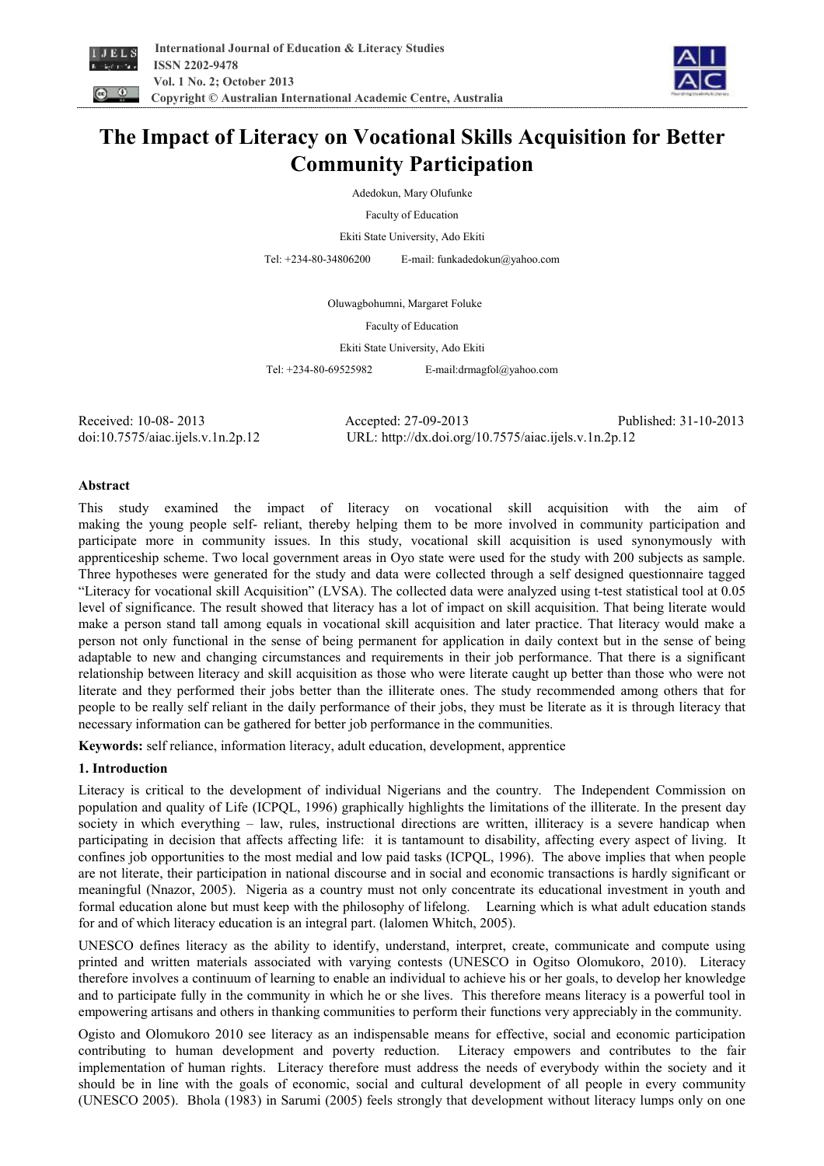



# **The Impact of Literacy on Vocational Skills Acquisition for Better Community Participation**

Adedokun, Mary Olufunke

Faculty of Education

Ekiti State University, Ado Ekiti

Tel: +234-80-34806200 E-mail: funkadedokun@yahoo.com

Oluwagbohumni, Margaret Foluke

Faculty of Education

Ekiti State University, Ado Ekiti

Tel: +234-80-69525982 E-mail:drmagfol@yahoo.com

Received: 10-08- 2013 Accepted: 27-09-2013 Published: 31-10-2013 doi:10.7575/aiac.ijels.v.1n.2p.12 URL: http://dx.doi.org/10.7575/aiac.ijels.v.1n.2p.12

#### **Abstract**

This study examined the impact of literacy on vocational skill acquisition with the aim of making the young people self- reliant, thereby helping them to be more involved in community participation and participate more in community issues. In this study, vocational skill acquisition is used synonymously with apprenticeship scheme. Two local government areas in Oyo state were used for the study with 200 subjects as sample. Three hypotheses were generated for the study and data were collected through a self designed questionnaire tagged "Literacy for vocational skill Acquisition" (LVSA). The collected data were analyzed using t-test statistical tool at 0.05 level of significance. The result showed that literacy has a lot of impact on skill acquisition. That being literate would make a person stand tall among equals in vocational skill acquisition and later practice. That literacy would make a person not only functional in the sense of being permanent for application in daily context but in the sense of being adaptable to new and changing circumstances and requirements in their job performance. That there is a significant relationship between literacy and skill acquisition as those who were literate caught up better than those who were not literate and they performed their jobs better than the illiterate ones. The study recommended among others that for people to be really self reliant in the daily performance of their jobs, they must be literate as it is through literacy that necessary information can be gathered for better job performance in the communities.

**Keywords:** self reliance, information literacy, adult education, development, apprentice

#### **1. Introduction**

Literacy is critical to the development of individual Nigerians and the country. The Independent Commission on population and quality of Life (ICPQL, 1996) graphically highlights the limitations of the illiterate. In the present day society in which everything – law, rules, instructional directions are written, illiteracy is a severe handicap when participating in decision that affects affecting life: it is tantamount to disability, affecting every aspect of living. It confines job opportunities to the most medial and low paid tasks (ICPQL, 1996). The above implies that when people are not literate, their participation in national discourse and in social and economic transactions is hardly significant or meaningful (Nnazor, 2005). Nigeria as a country must not only concentrate its educational investment in youth and formal education alone but must keep with the philosophy of lifelong. Learning which is what adult education stands for and of which literacy education is an integral part. (lalomen Whitch, 2005).

UNESCO defines literacy as the ability to identify, understand, interpret, create, communicate and compute using printed and written materials associated with varying contests (UNESCO in Ogitso Olomukoro, 2010). Literacy therefore involves a continuum of learning to enable an individual to achieve his or her goals, to develop her knowledge and to participate fully in the community in which he or she lives. This therefore means literacy is a powerful tool in empowering artisans and others in thanking communities to perform their functions very appreciably in the community.

Ogisto and Olomukoro 2010 see literacy as an indispensable means for effective, social and economic participation contributing to human development and poverty reduction. Literacy empowers and contributes to the fair implementation of human rights. Literacy therefore must address the needs of everybody within the society and it should be in line with the goals of economic, social and cultural development of all people in every community (UNESCO 2005). Bhola (1983) in Sarumi (2005) feels strongly that development without literacy lumps only on one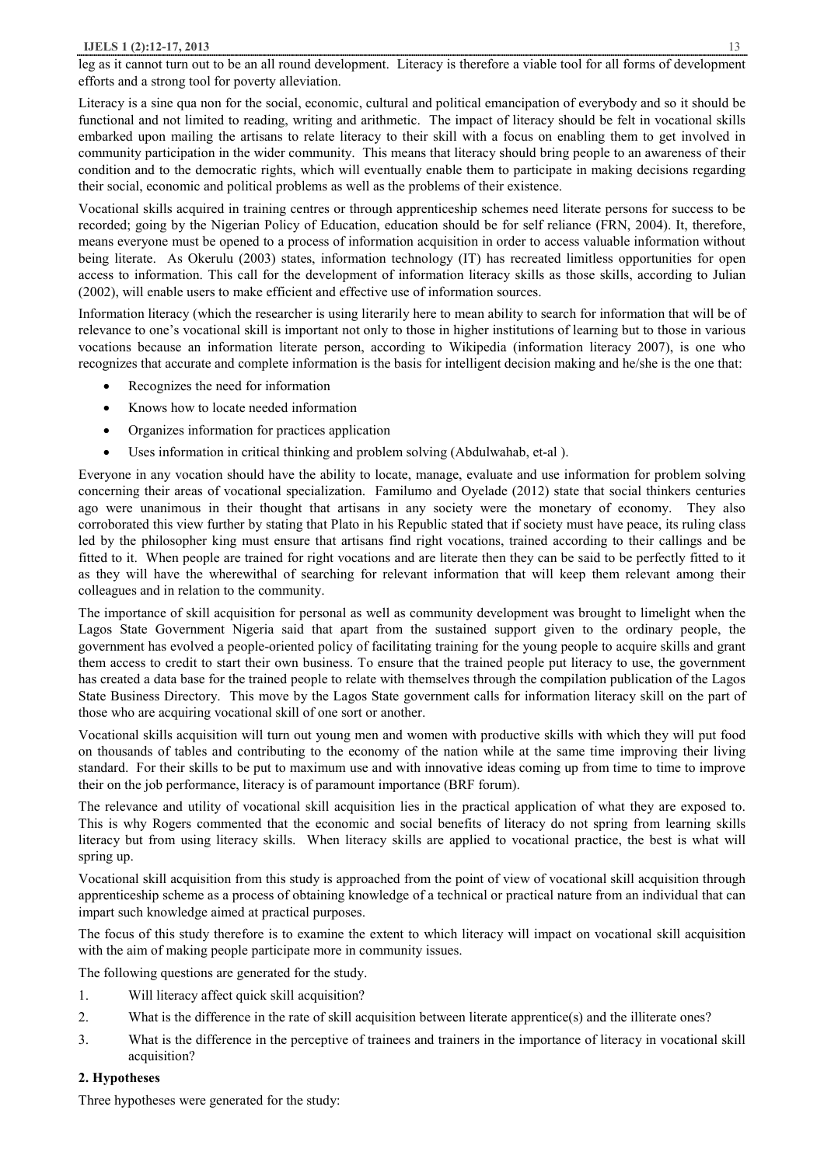leg as it cannot turn out to be an all round development. Literacy is therefore a viable tool for all forms of development efforts and a strong tool for poverty alleviation.

Literacy is a sine qua non for the social, economic, cultural and political emancipation of everybody and so it should be functional and not limited to reading, writing and arithmetic. The impact of literacy should be felt in vocational skills embarked upon mailing the artisans to relate literacy to their skill with a focus on enabling them to get involved in community participation in the wider community. This means that literacy should bring people to an awareness of their condition and to the democratic rights, which will eventually enable them to participate in making decisions regarding their social, economic and political problems as well as the problems of their existence.

Vocational skills acquired in training centres or through apprenticeship schemes need literate persons for success to be recorded; going by the Nigerian Policy of Education, education should be for self reliance (FRN, 2004). It, therefore, means everyone must be opened to a process of information acquisition in order to access valuable information without being literate. As Okerulu (2003) states, information technology (IT) has recreated limitless opportunities for open access to information. This call for the development of information literacy skills as those skills, according to Julian (2002), will enable users to make efficient and effective use of information sources.

Information literacy (which the researcher is using literarily here to mean ability to search for information that will be of relevance to one's vocational skill is important not only to those in higher institutions of learning but to those in various vocations because an information literate person, according to Wikipedia (information literacy 2007), is one who recognizes that accurate and complete information is the basis for intelligent decision making and he/she is the one that:

- · Recognizes the need for information
- Knows how to locate needed information
- · Organizes information for practices application
- · Uses information in critical thinking and problem solving (Abdulwahab, et-al ).

Everyone in any vocation should have the ability to locate, manage, evaluate and use information for problem solving concerning their areas of vocational specialization. Familumo and Oyelade (2012) state that social thinkers centuries ago were unanimous in their thought that artisans in any society were the monetary of economy. They also corroborated this view further by stating that Plato in his Republic stated that if society must have peace, its ruling class led by the philosopher king must ensure that artisans find right vocations, trained according to their callings and be fitted to it. When people are trained for right vocations and are literate then they can be said to be perfectly fitted to it as they will have the wherewithal of searching for relevant information that will keep them relevant among their colleagues and in relation to the community.

The importance of skill acquisition for personal as well as community development was brought to limelight when the Lagos State Government Nigeria said that apart from the sustained support given to the ordinary people, the government has evolved a people-oriented policy of facilitating training for the young people to acquire skills and grant them access to credit to start their own business. To ensure that the trained people put literacy to use, the government has created a data base for the trained people to relate with themselves through the compilation publication of the Lagos State Business Directory. This move by the Lagos State government calls for information literacy skill on the part of those who are acquiring vocational skill of one sort or another.

Vocational skills acquisition will turn out young men and women with productive skills with which they will put food on thousands of tables and contributing to the economy of the nation while at the same time improving their living standard. For their skills to be put to maximum use and with innovative ideas coming up from time to time to improve their on the job performance, literacy is of paramount importance (BRF forum).

The relevance and utility of vocational skill acquisition lies in the practical application of what they are exposed to. This is why Rogers commented that the economic and social benefits of literacy do not spring from learning skills literacy but from using literacy skills. When literacy skills are applied to vocational practice, the best is what will spring up.

Vocational skill acquisition from this study is approached from the point of view of vocational skill acquisition through apprenticeship scheme as a process of obtaining knowledge of a technical or practical nature from an individual that can impart such knowledge aimed at practical purposes.

The focus of this study therefore is to examine the extent to which literacy will impact on vocational skill acquisition with the aim of making people participate more in community issues.

The following questions are generated for the study.

- 1. Will literacy affect quick skill acquisition?
- 2. What is the difference in the rate of skill acquisition between literate apprentice(s) and the illiterate ones?
- 3. What is the difference in the perceptive of trainees and trainers in the importance of literacy in vocational skill acquisition?

## **2. Hypotheses**

Three hypotheses were generated for the study: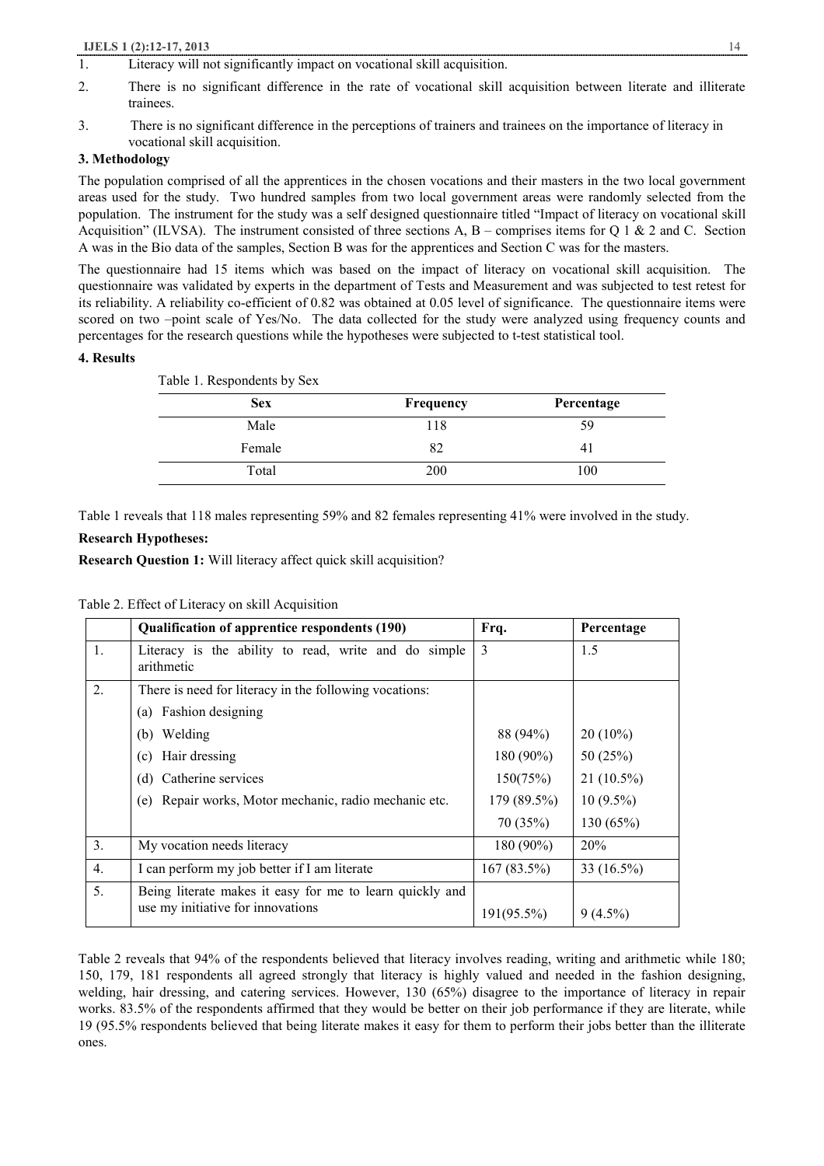### **IJELS 1 (2):12-17, 2013** 14

- 1. Literacy will not significantly impact on vocational skill acquisition.
- 2. There is no significant difference in the rate of vocational skill acquisition between literate and illiterate trainees.
- 3. There is no significant difference in the perceptions of trainers and trainees on the importance of literacy in vocational skill acquisition.

## **3. Methodology**

The population comprised of all the apprentices in the chosen vocations and their masters in the two local government areas used for the study. Two hundred samples from two local government areas were randomly selected from the population. The instrument for the study was a self designed questionnaire titled "Impact of literacy on vocational skill Acquisition" (ILVSA). The instrument consisted of three sections A,  $B$  – comprises items for Q 1 & 2 and C. Section A was in the Bio data of the samples, Section B was for the apprentices and Section C was for the masters.

The questionnaire had 15 items which was based on the impact of literacy on vocational skill acquisition. The questionnaire was validated by experts in the department of Tests and Measurement and was subjected to test retest for its reliability. A reliability co-efficient of 0.82 was obtained at 0.05 level of significance. The questionnaire items were scored on two -point scale of Yes/No. The data collected for the study were analyzed using frequency counts and percentages for the research questions while the hypotheses were subjected to t-test statistical tool.

## **4. Results**

| Frequency | Percentage |
|-----------|------------|
| 118       | 59         |
| 82        | 41         |
| 200       | 100        |
|           |            |

Table 1 reveals that 118 males representing 59% and 82 females representing 41% were involved in the study.

## **Research Hypotheses:**

**Research Question 1:** Will literacy affect quick skill acquisition?

|  | Table 2. Effect of Literacy on skill Acquisition |  |  |
|--|--------------------------------------------------|--|--|
|--|--------------------------------------------------|--|--|

|    | Qualification of apprentice respondents (190)                                                 | Frq.        | Percentage   |  |
|----|-----------------------------------------------------------------------------------------------|-------------|--------------|--|
| 1. | Literacy is the ability to read, write and do simple<br>arithmetic                            | 3           | 1.5          |  |
| 2. | There is need for literacy in the following vocations:                                        |             |              |  |
|    | (a) Fashion designing                                                                         |             |              |  |
|    | (b) Welding                                                                                   | 88 (94%)    | $20(10\%)$   |  |
|    | Hair dressing<br>(c)                                                                          | 180 (90%)   | 50 $(25%)$   |  |
|    | (d) Catherine services                                                                        | 150(75%)    | $21(10.5\%)$ |  |
|    | (e) Repair works, Motor mechanic, radio mechanic etc.                                         | 179 (89.5%) | $10(9.5\%)$  |  |
|    |                                                                                               | 70(35%)     | 130 (65%)    |  |
| 3. | My vocation needs literacy                                                                    | $180(90\%)$ | 20%          |  |
| 4. | I can perform my job better if I am literate                                                  | 167(83.5%)  | 33 (16.5%)   |  |
| 5. | Being literate makes it easy for me to learn quickly and<br>use my initiative for innovations | 191(95.5%)  | $9(4.5\%)$   |  |

Table 2 reveals that 94% of the respondents believed that literacy involves reading, writing and arithmetic while 180; 150, 179, 181 respondents all agreed strongly that literacy is highly valued and needed in the fashion designing, welding, hair dressing, and catering services. However, 130 (65%) disagree to the importance of literacy in repair works. 83.5% of the respondents affirmed that they would be better on their job performance if they are literate, while 19 (95.5% respondents believed that being literate makes it easy for them to perform their jobs better than the illiterate ones.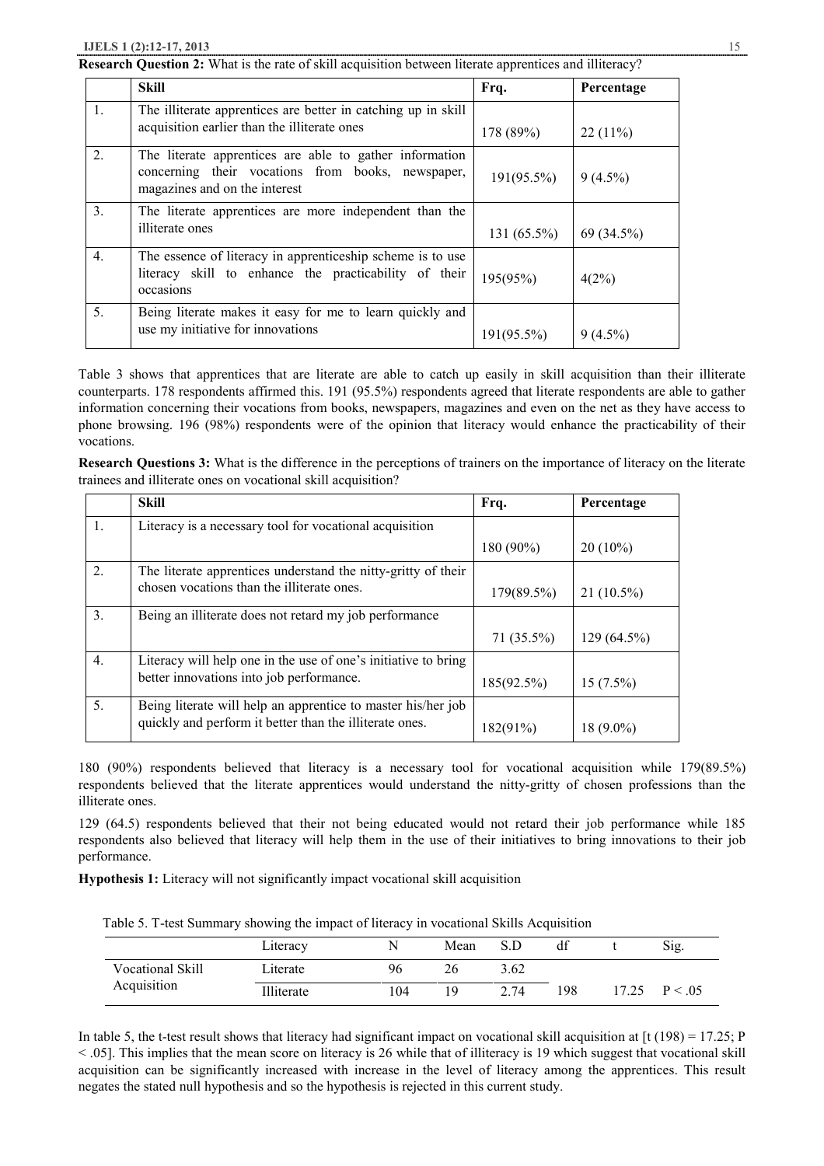**Research Question 2:** What is the rate of skill acquisition between literate apprentices and illiteracy?

|                  | <b>Skill</b>                                                                                                                                  | Frq.           | Percentage |
|------------------|-----------------------------------------------------------------------------------------------------------------------------------------------|----------------|------------|
| 1.               | The illiterate apprentices are better in catching up in skill<br>acquisition earlier than the illiterate ones                                 | 178 (89%)      | $22(11\%)$ |
| 2 <sub>1</sub>   | The literate apprentices are able to gather information<br>concerning their vocations from books, newspaper,<br>magazines and on the interest | $191(95.5\%)$  | $9(4.5\%)$ |
| 3 <sub>1</sub>   | The literate apprentices are more independent than the<br>illiterate ones                                                                     | 131 $(65.5\%)$ | 69 (34.5%) |
| $\overline{4}$ . | The essence of literacy in apprenticeship scheme is to use<br>literacy skill to enhance the practicability of their<br>occasions              | 195(95%)       | 4(2%)      |
| 5 <sub>1</sub>   | Being literate makes it easy for me to learn quickly and<br>use my initiative for innovations                                                 | $191(95.5\%)$  | $9(4.5\%)$ |

Table 3 shows that apprentices that are literate are able to catch up easily in skill acquisition than their illiterate counterparts. 178 respondents affirmed this. 191 (95.5%) respondents agreed that literate respondents are able to gather information concerning their vocations from books, newspapers, magazines and even on the net as they have access to phone browsing. 196 (98%) respondents were of the opinion that literacy would enhance the practicability of their vocations.

**Research Questions 3:** What is the difference in the perceptions of trainers on the importance of literacy on the literate trainees and illiterate ones on vocational skill acquisition?

|                  | <b>Skill</b>                                                   | Frq.        | Percentage   |
|------------------|----------------------------------------------------------------|-------------|--------------|
| 1.               | Literacy is a necessary tool for vocational acquisition        |             |              |
|                  |                                                                | 180 (90%)   | $20(10\%)$   |
| $2_{\cdot}$      | The literate apprentices understand the nitty-gritty of their  |             |              |
|                  | chosen vocations than the illiterate ones.                     | 179(89.5%)  | $21(10.5\%)$ |
| 3.               | Being an illiterate does not retard my job performance         |             |              |
|                  |                                                                | 71 (35.5%)  | 129 (64.5%)  |
| $\overline{4}$ . | Literacy will help one in the use of one's initiative to bring |             |              |
|                  | better innovations into job performance.                       | 185(92.5%)  | $15(7.5\%)$  |
| 5.               | Being literate will help an apprentice to master his/her job   |             |              |
|                  | quickly and perform it better than the illiterate ones.        | $182(91\%)$ | $18(9.0\%)$  |

180 (90%) respondents believed that literacy is a necessary tool for vocational acquisition while 179(89.5%) respondents believed that the literate apprentices would understand the nitty-gritty of chosen professions than the illiterate ones.

129 (64.5) respondents believed that their not being educated would not retard their job performance while 185 respondents also believed that literacy will help them in the use of their initiatives to bring innovations to their job performance.

**Hypothesis 1:** Literacy will not significantly impact vocational skill acquisition

Table 5. T-test Summary showing the impact of literacy in vocational Skills Acquisition

|                  | Literacy   |     | Mean | S.D  | df  |       | Sig.     |
|------------------|------------|-----|------|------|-----|-------|----------|
| Vocational Skill | Literate   | 96  | 26   | 3.62 |     |       |          |
| Acquisition      | Illiterate | .04 | 19   | 2.74 | 198 | 17.25 | P < 0.05 |

In table 5, the t-test result shows that literacy had significant impact on vocational skill acquisition at  $[t (198) = 17.25; P$  $\leq$  05]. This implies that the mean score on literacy is 26 while that of illiteracy is 19 which suggest that vocational skill acquisition can be significantly increased with increase in the level of literacy among the apprentices. This result negates the stated null hypothesis and so the hypothesis is rejected in this current study.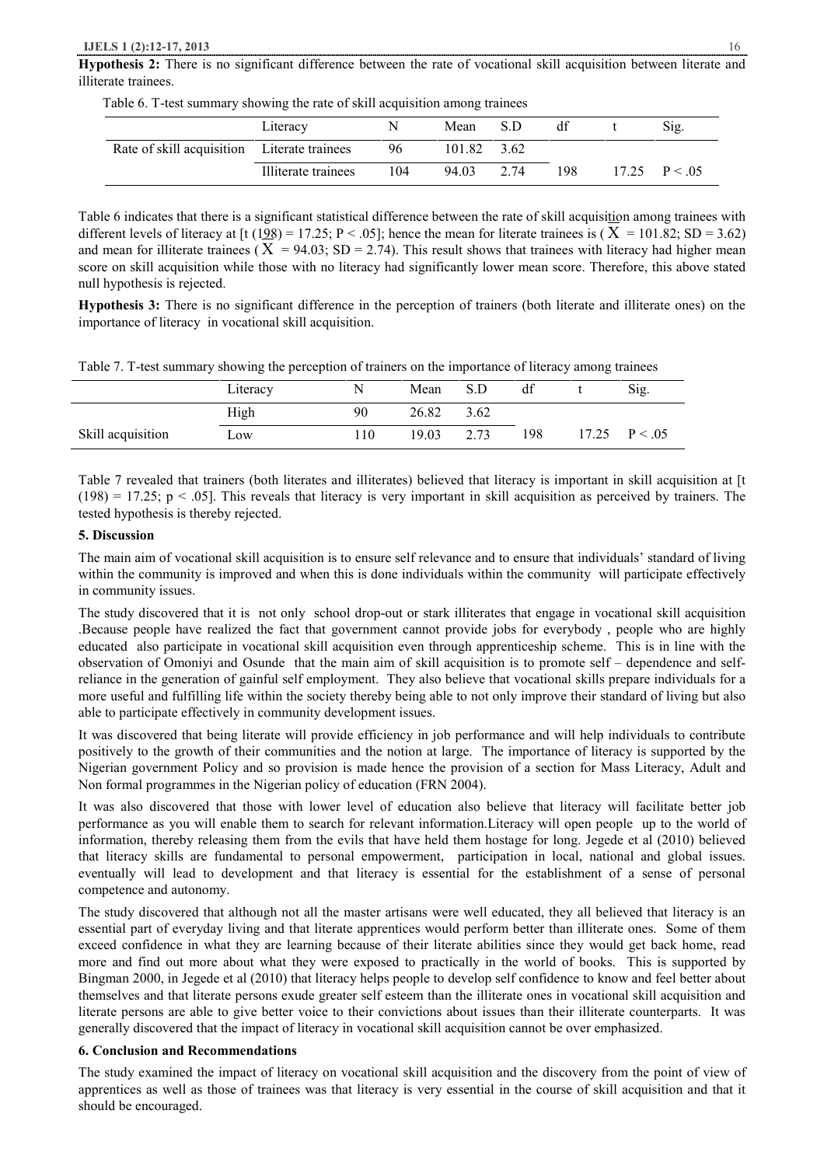**Hypothesis 2:** There is no significant difference between the rate of vocational skill acquisition between literate and illiterate trainees.

|                                             | Literacy            |     | Mean S.D    |     | Sig.           |
|---------------------------------------------|---------------------|-----|-------------|-----|----------------|
| Rate of skill acquisition Literate trainees |                     | 96  | 101.82 3.62 |     |                |
|                                             | Illiterate trainees | 104 | 94.03 2.74  | 198 | $17.25$ P < 05 |

Table 6. T-test summary showing the rate of skill acquisition among trainees

Table 6 indicates that there is a significant statistical difference between the rate of skill acquisition among trainees with different levels of literacy at [t (198) = 17.25; P < .05]; hence the mean for literate trainees is ( $X = 101.82$ ; SD = 3.62) and mean for illiterate trainees ( $X = 94.03$ ; SD = 2.74). This result shows that trainees with literacy had higher mean score on skill acquisition while those with no literacy had significantly lower mean score. Therefore, this above stated null hypothesis is rejected.

**Hypothesis 3:** There is no significant difference in the perception of trainers (both literate and illiterate ones) on the importance of literacy in vocational skill acquisition.

Table 7. T-test summary showing the perception of trainers on the importance of literacy among trainees

|                   | Literacy |    | Mean  | S.D  | df  | Sig.              |
|-------------------|----------|----|-------|------|-----|-------------------|
|                   | High     | 90 | 26.82 | 3.62 |     |                   |
| Skill acquisition | Low      | 10 | 19.03 | 2.73 | 198 | $17.25$ $P < .05$ |

Table 7 revealed that trainers (both literates and illiterates) believed that literacy is important in skill acquisition at [t  $(198) = 17.25$ ; p < .05]. This reveals that literacy is very important in skill acquisition as perceived by trainers. The tested hypothesis is thereby rejected.

### **5. Discussion**

The main aim of vocational skill acquisition is to ensure self relevance and to ensure that individuals' standard of living within the community is improved and when this is done individuals within the community will participate effectively in community issues.

The study discovered that it is not only school drop-out or stark illiterates that engage in vocational skill acquisition .Because people have realized the fact that government cannot provide jobs for everybody , people who are highly educated also participate in vocational skill acquisition even through apprenticeship scheme. This is in line with the observation of Omoniyi and Osunde that the main aim of skill acquisition is to promote self – dependence and selfreliance in the generation of gainful self employment. They also believe that vocational skills prepare individuals for a more useful and fulfilling life within the society thereby being able to not only improve their standard of living but also able to participate effectively in community development issues.

It was discovered that being literate will provide efficiency in job performance and will help individuals to contribute positively to the growth of their communities and the notion at large. The importance of literacy is supported by the Nigerian government Policy and so provision is made hence the provision of a section for Mass Literacy, Adult and Non formal programmes in the Nigerian policy of education (FRN 2004).

It was also discovered that those with lower level of education also believe that literacy will facilitate better job performance as you will enable them to search for relevant information.Literacy will open people up to the world of information, thereby releasing them from the evils that have held them hostage for long. Jegede et al (2010) believed that literacy skills are fundamental to personal empowerment, participation in local, national and global issues. eventually will lead to development and that literacy is essential for the establishment of a sense of personal competence and autonomy.

The study discovered that although not all the master artisans were well educated, they all believed that literacy is an essential part of everyday living and that literate apprentices would perform better than illiterate ones. Some of them exceed confidence in what they are learning because of their literate abilities since they would get back home, read more and find out more about what they were exposed to practically in the world of books. This is supported by Bingman 2000, in Jegede et al (2010) that literacy helps people to develop self confidence to know and feel better about themselves and that literate persons exude greater self esteem than the illiterate ones in vocational skill acquisition and literate persons are able to give better voice to their convictions about issues than their illiterate counterparts. It was generally discovered that the impact of literacy in vocational skill acquisition cannot be over emphasized.

## **6. Conclusion and Recommendations**

The study examined the impact of literacy on vocational skill acquisition and the discovery from the point of view of apprentices as well as those of trainees was that literacy is very essential in the course of skill acquisition and that it should be encouraged.